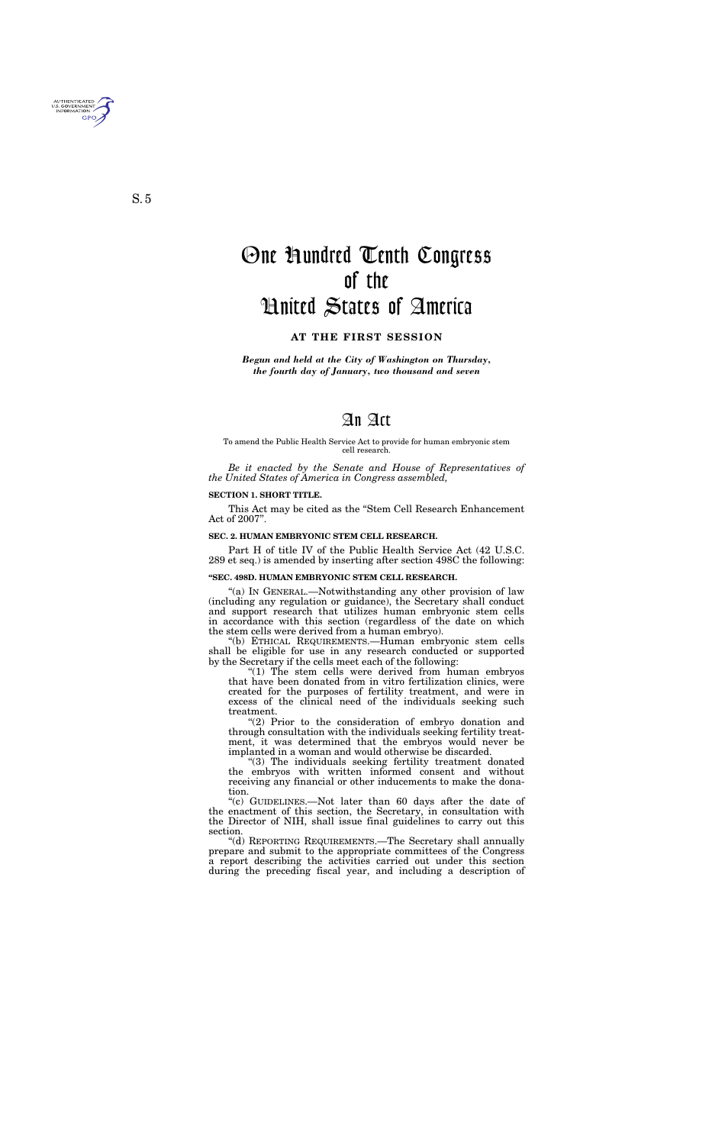*Begun and held at the City of Washington on Thursday, the fourth day of January, two thousand and seven*

# An Act

To amend the Public Health Service Act to provide for human embryonic stem cell research.

*Be it enacted by the Senate and House of Representatives of the United States of America in Congress assembled,*

#### **SECTION 1. SHORT TITLE.**

This Act may be cited as the ''Stem Cell Research Enhancement Act of 2007''.

#### **SEC. 2. HUMAN EMBRYONIC STEM CELL RESEARCH.**

Part H of title IV of the Public Health Service Act (42 U.S.C. 289 et seq.) is amended by inserting after section 498C the following:

#### **''SEC. 498D. HUMAN EMBRYONIC STEM CELL RESEARCH.**

"(a) IN GENERAL.—Notwithstanding any other provision of law (including any regulation or guidance), the Secretary shall conduct and support research that utilizes human embryonic stem cells in accordance with this section (regardless of the date on which the stem cells were derived from a human embryo).

''(b) ETHICAL REQUIREMENTS.—Human embryonic stem cells shall be eligible for use in any research conducted or supported by the Secretary if the cells meet each of the following:

" $(1)$  The stem cells were derived from human embryos that have been donated from in vitro fertilization clinics, were created for the purposes of fertility treatment, and were in excess of the clinical need of the individuals seeking such treatment.

"(2) Prior to the consideration of embryo donation and through consultation with the individuals seeking fertility treatment, it was determined that the embryos would never be implanted in a woman and would otherwise be discarded.

"(3) The individuals seeking fertility treatment donated the embryos with written informed consent and without receiving any financial or other inducements to make the donation.

''(c) GUIDELINES.—Not later than 60 days after the date of the enactment of this section, the Secretary, in consultation with the Director of NIH, shall issue final guidelines to carry out this section.

''(d) REPORTING REQUIREMENTS.—The Secretary shall annually prepare and submit to the appropriate committees of the Congress a report describing the activities carried out under this section during the preceding fiscal year, and including a description of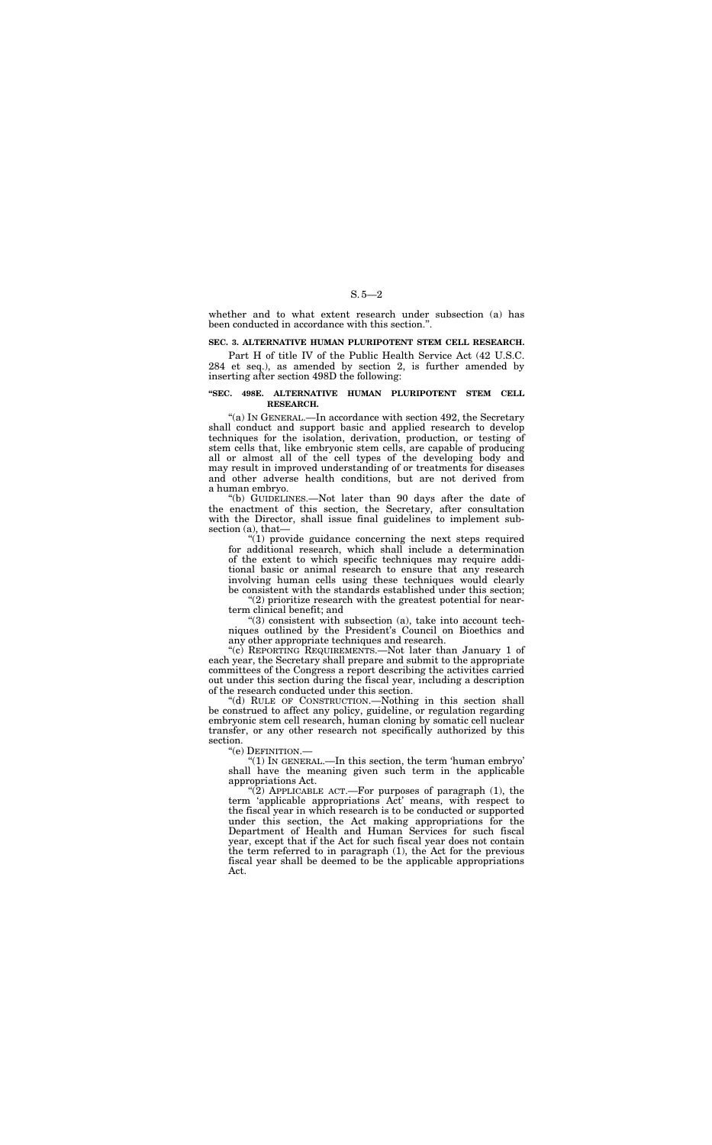S. 5—2

whether and to what extent research under subsection (a) has been conducted in accordance with this section.''.

#### **SEC. 3. ALTERNATIVE HUMAN PLURIPOTENT STEM CELL RESEARCH.**

Part H of title IV of the Public Health Service Act (42 U.S.C. 284 et seq.), as amended by section 2, is further amended by inserting after section 498D the following:

### **''SEC. 498E. ALTERNATIVE HUMAN PLURIPOTENT STEM CELL RESEARCH.**

''(a) IN GENERAL.—In accordance with section 492, the Secretary shall conduct and support basic and applied research to develop techniques for the isolation, derivation, production, or testing of stem cells that, like embryonic stem cells, are capable of producing all or almost all of the cell types of the developing body and may result in improved understanding of or treatments for diseases and other adverse health conditions, but are not derived from a human embryo.

 $\mathcal{L}(1)$  provide guidance concerning the next steps required for additional research, which shall include a determination of the extent to which specific techniques may require additional basic or animal research to ensure that any research involving human cells using these techniques would clearly be consistent with the standards established under this section;

" $(3)$  consistent with subsection  $(a)$ , take into account techniques outlined by the President's Council on Bioethics and any other appropriate techniques and research.

''(b) GUIDELINES.—Not later than 90 days after the date of the enactment of this section, the Secretary, after consultation with the Director, shall issue final guidelines to implement subsection (a), that—

"(2) APPLICABLE ACT.—For purposes of paragraph  $(1)$ , the term 'applicable appropriations Act' means, with respect to the fiscal year in which research is to be conducted or supported under this section, the Act making appropriations for the Department of Health and Human Services for such fiscal year, except that if the Act for such fiscal year does not contain the term referred to in paragraph (1), the Act for the previous fiscal year shall be deemed to be the applicable appropriations Act.

''(2) prioritize research with the greatest potential for nearterm clinical benefit; and

''(c) REPORTING REQUIREMENTS.—Not later than January 1 of each year, the Secretary shall prepare and submit to the appropriate committees of the Congress a report describing the activities carried out under this section during the fiscal year, including a description of the research conducted under this section.

''(d) RULE OF CONSTRUCTION.—Nothing in this section shall be construed to affect any policy, guideline, or regulation regarding embryonic stem cell research, human cloning by somatic cell nuclear transfer, or any other research not specifically authorized by this section.

''(e) DEFINITION.—

''(1) IN GENERAL.—In this section, the term 'human embryo' shall have the meaning given such term in the applicable appropriations Act.